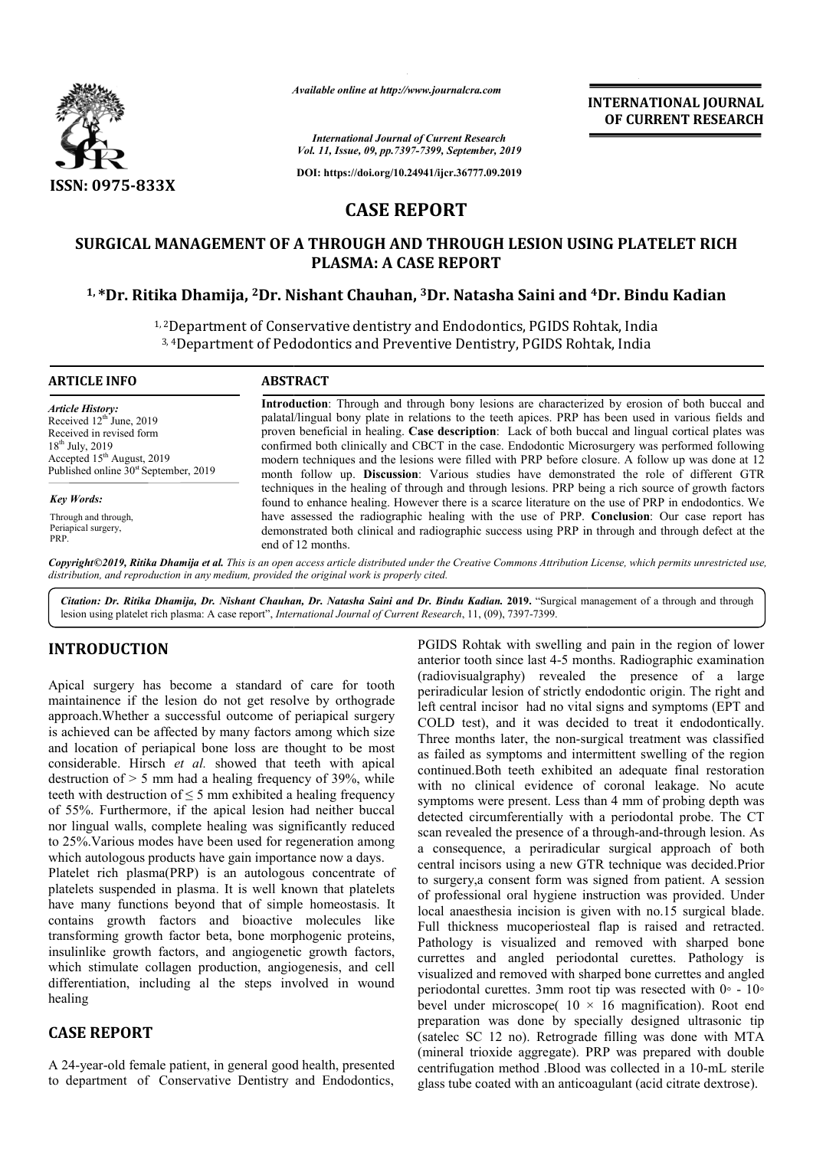

*Available online at http://www.journalcra.com*

**INTERNATIONAL JOURNAL OF CURRENT RESEARCH**

*International Journal of Current Research Vol. 11, Issue, 09, pp.7397-7399, September, 2019*

**DOI: https://doi.org/10.24941/ijcr.36777.09.2019**

# **CASE REPORT**

# **SURGICAL MANAGEMENT OF A THROUGH AND THROUGH LESION USING PLATELET RICH 1, \*Dr. Ritika Dhamija, 2Dr. Nishant Chauhan Dr. Chauhan, 3Dr. Natasha Saini and THROUGH AND PLATELET RICH 4Dr. Bindu Kadian PLASMA: A CASE REPORT**

<sup>1, 2</sup>Department of Conservative dentistry and Endodontics, PGIDS Rohtak, India 3, <sup>4</sup>Department of Pedodontics and Preventive Dentistry, PGIDS Rohtak, India

## **ARTICLE INFO ABSTRACT Introduction** : Through and through bony lesions are characterized by erosion of both buccal and *Article History:*

Received 12<sup>th</sup> June, 2019 Received in revised form 18<sup>th</sup> July, 2019 Accepted 15<sup>th</sup> August, 2019 Published online  $30<sup>st</sup>$  September, 2019

#### *Key Words:*

Through and through, Periapical surgery, PRP.

palatal/lingual bony plate in relations to the teeth apices. PRP has been used in various fields and Introduction: Through and through bony lesions are characterized by erosion of both buccal and palatal/lingual bony plate in relations to the teeth apices. PRP has been used in various fields and proven beneficial in heali confirmed both clinically and CBCT in the case. Endodontic Microsurgery was performed following modern techniques and the lesions were filled with PRP before closure. A follow up was done at 12 month follow up. **Discussion**: Various studies have demonstrated the role of different GTR techniques in the healing of through and through lesions. PRP being a rich source of growth factors found to enhance healing. However there is a scarce literature on the use of PRP in endodontics. We have assessed the radiographic healing with the use of PRP. Conclusion: Our case report has demonstrated both clinical and radiographic success using PRP in through and through defect at the end of 12 months. confirmed both clinically and CBCT in the case. Endodontic Microsurgery was performed following modern techniques and the lesions were filled with PRP before closure. A follow up was done at 12 month follow up. **Discussion** 

Copyright©2019, Ritika Dhamija et al. This is an open access article distributed under the Creative Commons Attribution License, which permits unrestricted use, *distribution, and reproduction in any medium, provided the original work is properly cited.*

Citation: Dr. Ritika Dhamija, Dr. Nishant Chauhan, Dr. Natasha Saini and Dr. Bindu Kadian. 2019. "Surgical management of a through and through lesion using platelet rich plasma: A case report", *International Journal of Current Research*, 11, (09), 7397-7399.

# **INTRODUCTION**

Apical surgery has become a standard of care for tooth maintainence if the lesion do not get resolve by orthograde approach.Whether a successful outcome of periapical surgery is achieved can be affected by many factors among which size and location of periapical bone loss are thought to be most considerable. Hirsch *et al.* showed that teeth with apical destruction of  $> 5$  mm had a healing frequency of 39%, while teeth with destruction of  $\leq$  5 mm exhibited a healing frequency of 55%. Furthermore, if the apical lesion had neither buccal nor lingual walls, complete healing was significantly reduced to 25%.Various modes have been used for regeneration among to 25%. Various modes have been used for regeneration amor<br>which autologous products have gain importance now a days. Platelet rich plasma(PRP) is an autologous concentrate of

platelets suspended in plasma. It is well known that platelets have many functions beyond that of simple homeostasis. It contains growth factors and bioactive molecules like transforming growth factor beta, bone morphogenic proteins, insulinlike growth factors, and angiogenetic growth factors, which stimulate collagen production, angiogenesis, and cell differentiation, including al the steps involved in wound healing in any growth factor beta, bone morphogenic proteins,<br>growth factors, and angiogenetic growth factors,<br>nulate collagen production, angiogenesis, and cell<br>ion, including al the steps involved in wound<br>**CPORT**<br>old female pat

# **CASE REPORT**

A 24-year-old female patient, in general good health, presented to department of Conservative Dentistry and Endodontics,

PGIDS Rohtak with swelling and pain in the region of lower PGIDS Rohtak with swelling and pain in the region of lower anterior tooth since last 4-5 months. Radiographic examination (radiovisualgraphy) revealed the presence of a large periradicular lesion of strictly endodontic origin. The right and left central incisor had no vital signs and symptoms (EPT and COLD test), and it was decided to treat it endodontically. Three months later, the non-surgical treatment was classified as failed as symptoms and intermittent swelling of the region continued.Both teeth exhibited an adequate final restoration with no clinical evidence of coronal leakage. No acute symptoms were present. Less than 4 mm of probing depth was detected circumferentially with a periodontal probe. The CT detected circumferentially with a periodontal probe. The CT scan revealed the presence of a through-and-through lesion. As a consequence, a periradicular surgical approach of both central incisors using a new GTR technique was decided.Prior to surgery, a consent form was signed from patient. A session of professional oral hygiene instruction was provided. Under local anaesthesia incision is given with no.15 surgical blade. Full thickness mucoperiosteal flap is raised and retracted. Pathology is visualized and removed with sharped bone currettes and angled periodontal curettes. Pathology is visualized and removed with sharped bone currettes and angled periodontal curettes. 3mm root tip was resected with  $0° - 10°$ bevel under microscope( 10 × 16 magnification). Root end preparation was done by specially designed ultrasonic tip (satelec SC 12 no). Retrograde filling was done with MTA (mineral trioxide aggregate). PRP was prepared with double centrifugation method .Blood was collected in a 10-mL sterile glass tube coated with an anticoagulant (acid citrate dextrose). diovisualgraphy) revealed the presence of a large triradicular lesion of strictly endodontic origin. The right and t central incisor had no vital signs and symptoms (EPT and DLD test), and it was decided to treat it endodo fessional oral hygiene instruction was provided. Under anaesthesia incision is given with no.15 surgical blade. thickness mucoperiosteal flap is raised and retracted. logy is visualized and removed with sharped bone curre microscope(  $10 \times 16$  magnification). Row was done by specially designed ultrason 12 no). Retrograde filling was done with **EXPERIMATIONAL JOURNAL SET (CONTROL)**<br> **EXPERIMATIONAL JOURNAL SET AND THE SET AND THE SET AND THE SET AND A SUPPOSE AND A SUPPOSE THE SET AND MATELE TO THE SET AND MATEL AND MATEL AND MATEL AND MATEL AND MATEL AND MATEL**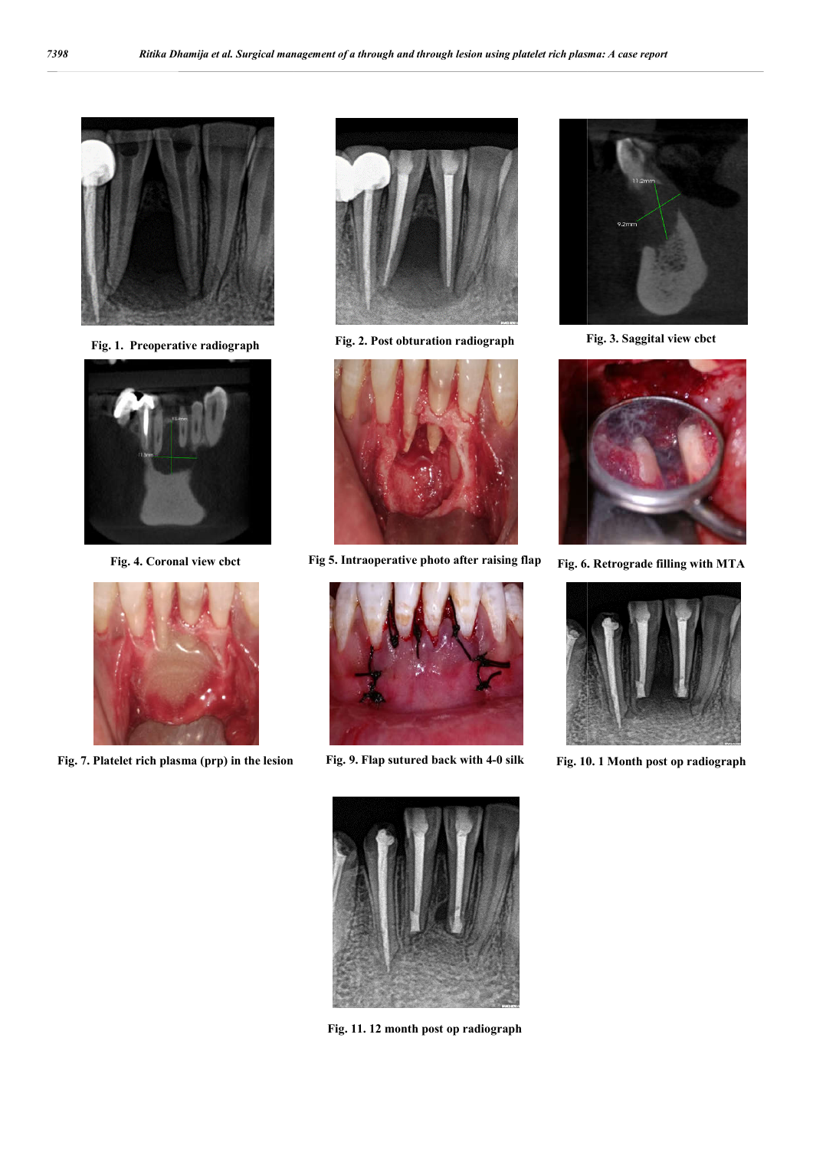

**Fig. 1. Preoperative radiograph**



**Fig. 4. Coronal view cbct**



**Fig. 7. Platelet rich plasma (prp) in the lesion**



**Fig. 2. Post obturation radiograph Fig. 3. Saggital view cbct**



**Fig 5. Intraoperative photo after raising flap Fig. 6.** 



Fig. 9. Flap sutured back with 4-0 silk Fig. 10. 1 Month post op radiograph









**Fig. 11. 12 month post op radiograph**